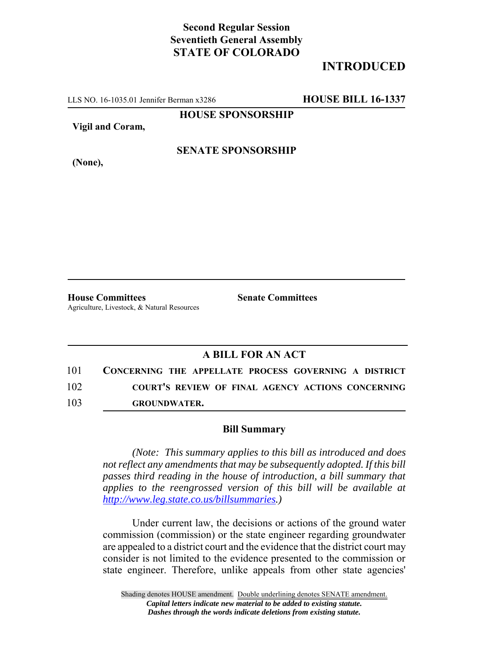## **Second Regular Session Seventieth General Assembly STATE OF COLORADO**

## **INTRODUCED**

LLS NO. 16-1035.01 Jennifer Berman x3286 **HOUSE BILL 16-1337**

**HOUSE SPONSORSHIP**

**Vigil and Coram,**

**SENATE SPONSORSHIP**

**(None),**

**House Committees Senate Committees** Agriculture, Livestock, & Natural Resources

## **A BILL FOR AN ACT**

101 **CONCERNING THE APPELLATE PROCESS GOVERNING A DISTRICT** 102 **COURT'S REVIEW OF FINAL AGENCY ACTIONS CONCERNING**

103 **GROUNDWATER.**

## **Bill Summary**

*(Note: This summary applies to this bill as introduced and does not reflect any amendments that may be subsequently adopted. If this bill passes third reading in the house of introduction, a bill summary that applies to the reengrossed version of this bill will be available at http://www.leg.state.co.us/billsummaries.)*

Under current law, the decisions or actions of the ground water commission (commission) or the state engineer regarding groundwater are appealed to a district court and the evidence that the district court may consider is not limited to the evidence presented to the commission or state engineer. Therefore, unlike appeals from other state agencies'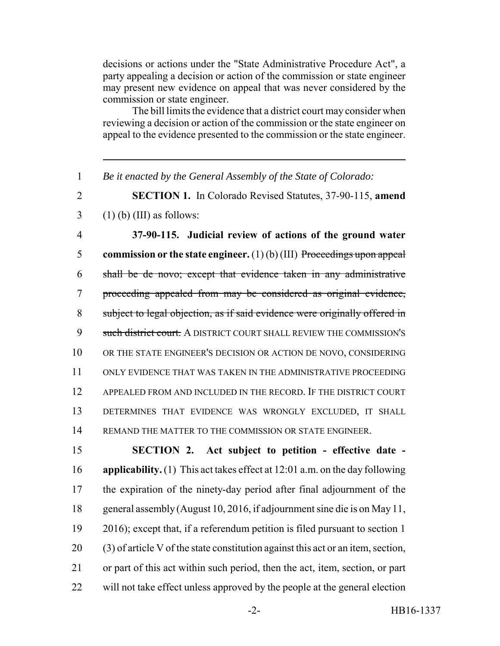decisions or actions under the "State Administrative Procedure Act", a party appealing a decision or action of the commission or state engineer may present new evidence on appeal that was never considered by the commission or state engineer.

The bill limits the evidence that a district court may consider when reviewing a decision or action of the commission or the state engineer on appeal to the evidence presented to the commission or the state engineer.

*Be it enacted by the General Assembly of the State of Colorado:*

 **SECTION 1.** In Colorado Revised Statutes, 37-90-115, **amend** (1) (b) (III) as follows:

 **37-90-115. Judicial review of actions of the ground water commission or the state engineer.** (1) (b) (III) Proceedings upon appeal shall be de novo; except that evidence taken in any administrative proceeding appealed from may be considered as original evidence, subject to legal objection, as if said evidence were originally offered in 9 such district court. A DISTRICT COURT SHALL REVIEW THE COMMISSION'S OR THE STATE ENGINEER'S DECISION OR ACTION DE NOVO, CONSIDERING ONLY EVIDENCE THAT WAS TAKEN IN THE ADMINISTRATIVE PROCEEDING APPEALED FROM AND INCLUDED IN THE RECORD. IF THE DISTRICT COURT DETERMINES THAT EVIDENCE WAS WRONGLY EXCLUDED, IT SHALL REMAND THE MATTER TO THE COMMISSION OR STATE ENGINEER.

 **SECTION 2. Act subject to petition - effective date - applicability.** (1) This act takes effect at 12:01 a.m. on the day following the expiration of the ninety-day period after final adjournment of the general assembly (August 10, 2016, if adjournment sine die is on May 11, 2016); except that, if a referendum petition is filed pursuant to section 1 (3) of article V of the state constitution against this act or an item, section, or part of this act within such period, then the act, item, section, or part will not take effect unless approved by the people at the general election